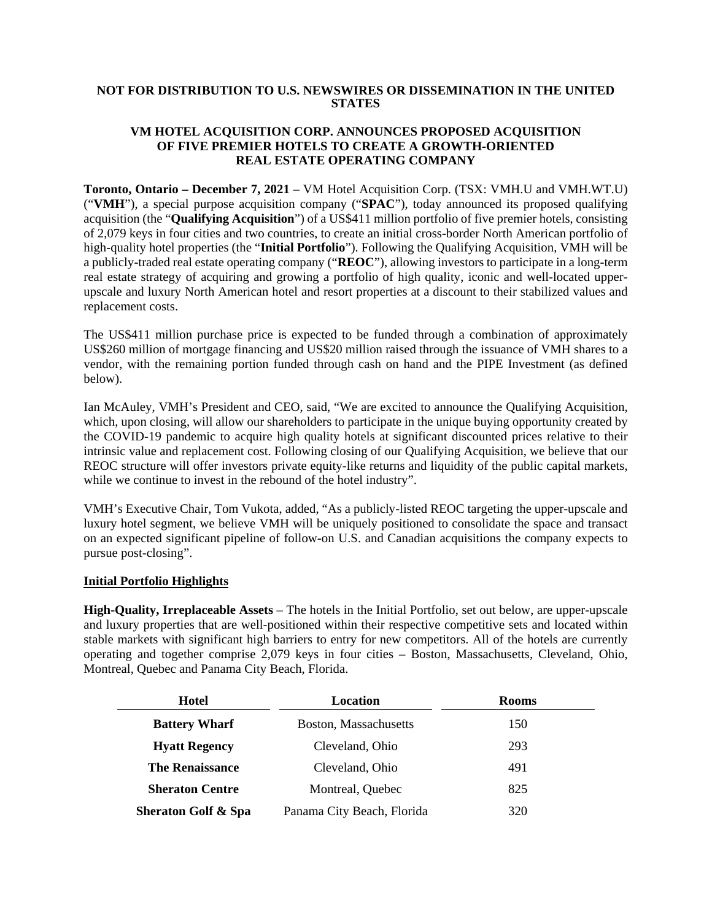## **NOT FOR DISTRIBUTION TO U.S. NEWSWIRES OR DISSEMINATION IN THE UNITED STATES**

### **VM HOTEL ACQUISITION CORP. ANNOUNCES PROPOSED ACQUISITION OF FIVE PREMIER HOTELS TO CREATE A GROWTH-ORIENTED REAL ESTATE OPERATING COMPANY**

**Toronto, Ontario – December 7, 2021** – VM Hotel Acquisition Corp. (TSX: VMH.U and VMH.WT.U) ("**VMH**"), a special purpose acquisition company ("**SPAC**"), today announced its proposed qualifying acquisition (the "**Qualifying Acquisition**") of a US\$411 million portfolio of five premier hotels, consisting of 2,079 keys in four cities and two countries, to create an initial cross-border North American portfolio of high-quality hotel properties (the "**Initial Portfolio**"). Following the Qualifying Acquisition, VMH will be a publicly-traded real estate operating company ("**REOC**"), allowing investors to participate in a long-term real estate strategy of acquiring and growing a portfolio of high quality, iconic and well-located upperupscale and luxury North American hotel and resort properties at a discount to their stabilized values and replacement costs.

The US\$411 million purchase price is expected to be funded through a combination of approximately US\$260 million of mortgage financing and US\$20 million raised through the issuance of VMH shares to a vendor, with the remaining portion funded through cash on hand and the PIPE Investment (as defined below).

Ian McAuley, VMH's President and CEO, said, "We are excited to announce the Qualifying Acquisition, which, upon closing, will allow our shareholders to participate in the unique buying opportunity created by the COVID-19 pandemic to acquire high quality hotels at significant discounted prices relative to their intrinsic value and replacement cost. Following closing of our Qualifying Acquisition, we believe that our REOC structure will offer investors private equity-like returns and liquidity of the public capital markets, while we continue to invest in the rebound of the hotel industry".

VMH's Executive Chair, Tom Vukota, added, "As a publicly-listed REOC targeting the upper-upscale and luxury hotel segment, we believe VMH will be uniquely positioned to consolidate the space and transact on an expected significant pipeline of follow-on U.S. and Canadian acquisitions the company expects to pursue post-closing".

### **Initial Portfolio Highlights**

**High-Quality, Irreplaceable Assets** – The hotels in the Initial Portfolio, set out below, are upper-upscale and luxury properties that are well-positioned within their respective competitive sets and located within stable markets with significant high barriers to entry for new competitors. All of the hotels are currently operating and together comprise 2,079 keys in four cities – Boston, Massachusetts, Cleveland, Ohio, Montreal, Quebec and Panama City Beach, Florida.

| Hotel                          | Location                   | <b>Rooms</b> |
|--------------------------------|----------------------------|--------------|
| <b>Battery Wharf</b>           | Boston, Massachusetts      | 150          |
| <b>Hyatt Regency</b>           | Cleveland, Ohio            | 293          |
| <b>The Renaissance</b>         | Cleveland, Ohio            | 491          |
| <b>Sheraton Centre</b>         | Montreal, Quebec           | 825          |
| <b>Sheraton Golf &amp; Spa</b> | Panama City Beach, Florida | 320          |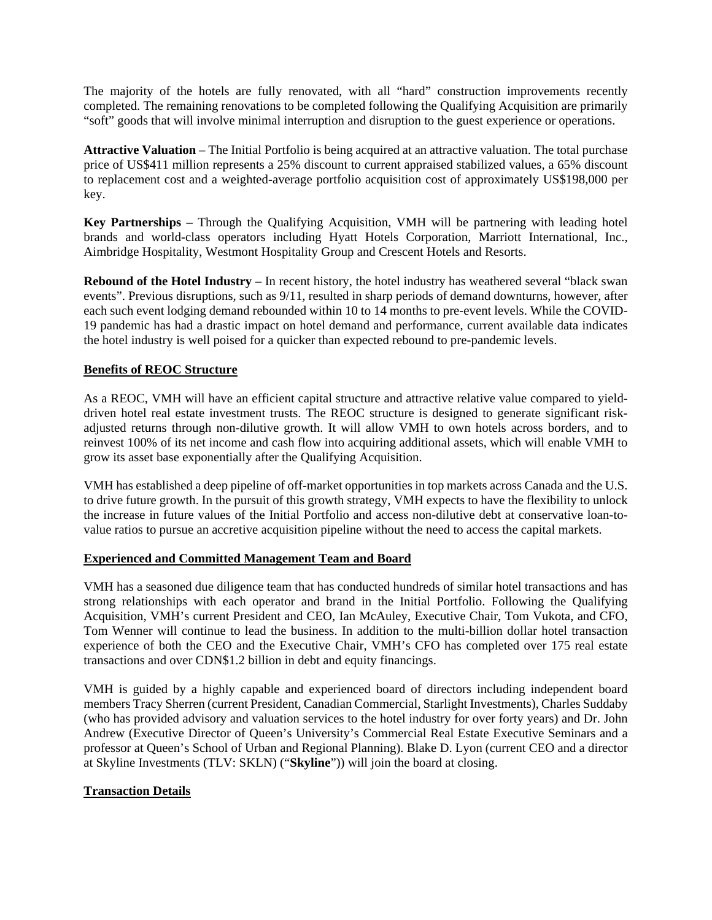The majority of the hotels are fully renovated, with all "hard" construction improvements recently completed. The remaining renovations to be completed following the Qualifying Acquisition are primarily "soft" goods that will involve minimal interruption and disruption to the guest experience or operations.

**Attractive Valuation** – The Initial Portfolio is being acquired at an attractive valuation. The total purchase price of US\$411 million represents a 25% discount to current appraised stabilized values, a 65% discount to replacement cost and a weighted-average portfolio acquisition cost of approximately US\$198,000 per key.

**Key Partnerships** – Through the Qualifying Acquisition, VMH will be partnering with leading hotel brands and world-class operators including Hyatt Hotels Corporation, Marriott International, Inc., Aimbridge Hospitality, Westmont Hospitality Group and Crescent Hotels and Resorts.

**Rebound of the Hotel Industry** – In recent history, the hotel industry has weathered several "black swan events". Previous disruptions, such as 9/11, resulted in sharp periods of demand downturns, however, after each such event lodging demand rebounded within 10 to 14 months to pre-event levels. While the COVID-19 pandemic has had a drastic impact on hotel demand and performance, current available data indicates the hotel industry is well poised for a quicker than expected rebound to pre-pandemic levels.

## **Benefits of REOC Structure**

As a REOC, VMH will have an efficient capital structure and attractive relative value compared to yielddriven hotel real estate investment trusts. The REOC structure is designed to generate significant riskadjusted returns through non-dilutive growth. It will allow VMH to own hotels across borders, and to reinvest 100% of its net income and cash flow into acquiring additional assets, which will enable VMH to grow its asset base exponentially after the Qualifying Acquisition.

VMH has established a deep pipeline of off-market opportunities in top markets across Canada and the U.S. to drive future growth. In the pursuit of this growth strategy, VMH expects to have the flexibility to unlock the increase in future values of the Initial Portfolio and access non-dilutive debt at conservative loan-tovalue ratios to pursue an accretive acquisition pipeline without the need to access the capital markets.

### **Experienced and Committed Management Team and Board**

VMH has a seasoned due diligence team that has conducted hundreds of similar hotel transactions and has strong relationships with each operator and brand in the Initial Portfolio. Following the Qualifying Acquisition, VMH's current President and CEO, Ian McAuley, Executive Chair, Tom Vukota, and CFO, Tom Wenner will continue to lead the business. In addition to the multi-billion dollar hotel transaction experience of both the CEO and the Executive Chair, VMH's CFO has completed over 175 real estate transactions and over CDN\$1.2 billion in debt and equity financings.

VMH is guided by a highly capable and experienced board of directors including independent board members Tracy Sherren (current President, Canadian Commercial, Starlight Investments), Charles Suddaby (who has provided advisory and valuation services to the hotel industry for over forty years) and Dr. John Andrew (Executive Director of Queen's University's Commercial Real Estate Executive Seminars and a professor at Queen's School of Urban and Regional Planning). Blake D. Lyon (current CEO and a director at Skyline Investments (TLV: SKLN) ("**Skyline**")) will join the board at closing.

### **Transaction Details**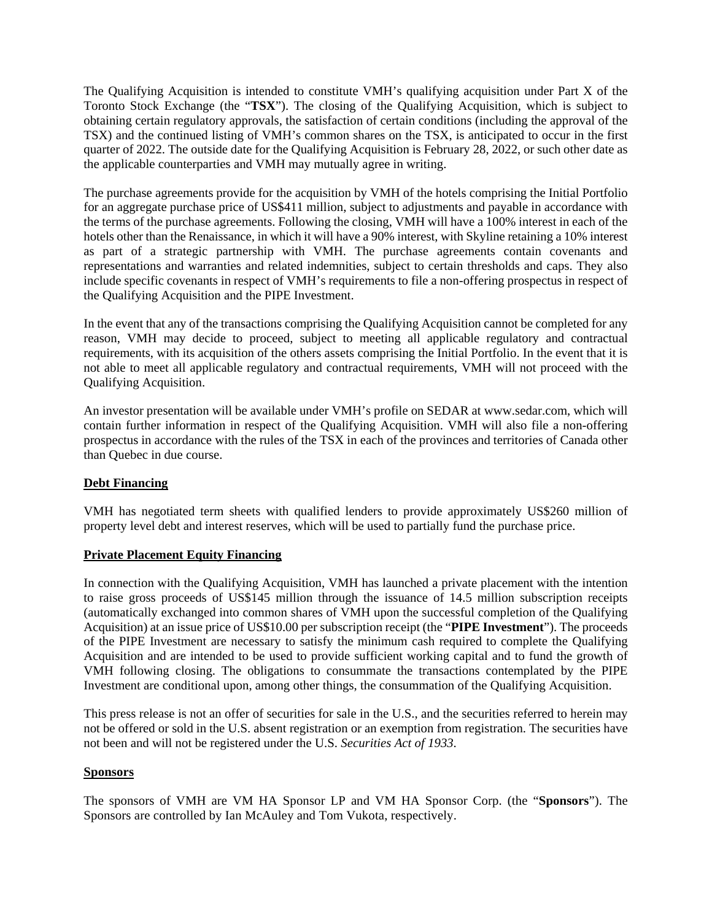The Qualifying Acquisition is intended to constitute VMH's qualifying acquisition under Part X of the Toronto Stock Exchange (the "**TSX**"). The closing of the Qualifying Acquisition, which is subject to obtaining certain regulatory approvals, the satisfaction of certain conditions (including the approval of the TSX) and the continued listing of VMH's common shares on the TSX, is anticipated to occur in the first quarter of 2022. The outside date for the Qualifying Acquisition is February 28, 2022, or such other date as the applicable counterparties and VMH may mutually agree in writing.

The purchase agreements provide for the acquisition by VMH of the hotels comprising the Initial Portfolio for an aggregate purchase price of US\$411 million, subject to adjustments and payable in accordance with the terms of the purchase agreements. Following the closing, VMH will have a 100% interest in each of the hotels other than the Renaissance, in which it will have a 90% interest, with Skyline retaining a 10% interest as part of a strategic partnership with VMH. The purchase agreements contain covenants and representations and warranties and related indemnities, subject to certain thresholds and caps. They also include specific covenants in respect of VMH's requirements to file a non-offering prospectus in respect of the Qualifying Acquisition and the PIPE Investment.

In the event that any of the transactions comprising the Qualifying Acquisition cannot be completed for any reason, VMH may decide to proceed, subject to meeting all applicable regulatory and contractual requirements, with its acquisition of the others assets comprising the Initial Portfolio. In the event that it is not able to meet all applicable regulatory and contractual requirements, VMH will not proceed with the Qualifying Acquisition.

An investor presentation will be available under VMH's profile on SEDAR at www.sedar.com, which will contain further information in respect of the Qualifying Acquisition. VMH will also file a non-offering prospectus in accordance with the rules of the TSX in each of the provinces and territories of Canada other than Quebec in due course.

# **Debt Financing**

VMH has negotiated term sheets with qualified lenders to provide approximately US\$260 million of property level debt and interest reserves, which will be used to partially fund the purchase price.

### **Private Placement Equity Financing**

In connection with the Qualifying Acquisition, VMH has launched a private placement with the intention to raise gross proceeds of US\$145 million through the issuance of 14.5 million subscription receipts (automatically exchanged into common shares of VMH upon the successful completion of the Qualifying Acquisition) at an issue price of US\$10.00 per subscription receipt (the "**PIPE Investment**"). The proceeds of the PIPE Investment are necessary to satisfy the minimum cash required to complete the Qualifying Acquisition and are intended to be used to provide sufficient working capital and to fund the growth of VMH following closing. The obligations to consummate the transactions contemplated by the PIPE Investment are conditional upon, among other things, the consummation of the Qualifying Acquisition.

This press release is not an offer of securities for sale in the U.S., and the securities referred to herein may not be offered or sold in the U.S. absent registration or an exemption from registration. The securities have not been and will not be registered under the U.S. *Securities Act of 1933*.

### **Sponsors**

The sponsors of VMH are VM HA Sponsor LP and VM HA Sponsor Corp. (the "**Sponsors**"). The Sponsors are controlled by Ian McAuley and Tom Vukota, respectively.